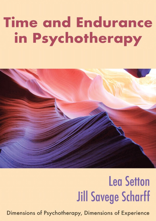# **Time and Endurance** in Psychotherapy



# **Lea Setton Jill Savege Scharff**

Dimensions of Psychotherapy, Dimensions of Experience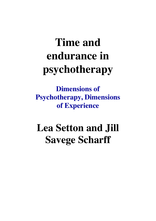## **Time and endurance in psychotherapy**

**Dimensions of Psychotherapy, Dimensions of Experience**

## **Lea Setton and Jill Savege Scharff**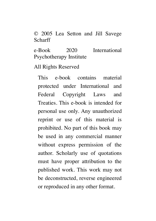© 2005 Lea Setton and Jill Savege Scharff

e-Book 2020 International Psychotherapy Institute

All Rights Reserved

This e-book contains material protected under International and Federal Copyright Laws and Treaties. This e-book is intended for personal use only. Any unauthorized reprint or use of this material is prohibited. No part of this book may be used in any commercial manner without express permission of the author. Scholarly use of quotations must have proper attribution to the published work. This work may not be deconstructed, reverse engineered or reproduced in any other format.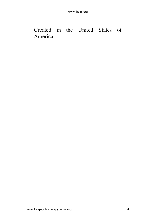#### Created in the United States of America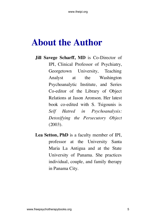## <span id="page-4-0"></span>**About the Author**

- **Jill Savege Scharff, MD** is Co-Director of IPI, Clinical Professor of Psychiatry, Georgetown University, Teaching Analyst at the Washington Psychoanalytic Institute, and Series Co-editor of the Library of Object Relations at Jason Aronson. Her latest book co-edited with S. Tsigounis is *Self Hatred in Psychoanalysis: Detoxifying the Persecutory Object* (2003).
- **Lea Setton, PhD** is a faculty member of IPI, professor at the University Santa Maria La Antigua and at the State University of Panama. She practices individual, couple, and family therapy in Panama City.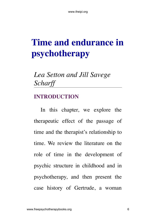## <span id="page-5-0"></span>**Time and endurance in psychotherapy**

### *Lea Setton and Jill Savege Scharff*

#### <span id="page-5-1"></span>**INTRODUCTION**

In this chapter, we explore the therapeutic effect of the passage of time and the therapist's relationship to time. We review the literature on the role of time in the development of psychic structure in childhood and in psychotherapy, and then present the case history of Gertrude, a woman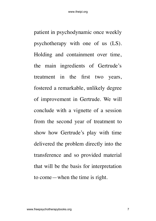patient in psychodynamic once weekly psychotherapy with one of us (LS). Holding and containment over time, the main ingredients of Gertrude's treatment in the first two years, fostered a remarkable, unlikely degree of improvement in Gertrude. We will conclude with a vignette of a session from the second year of treatment to show how Gertrude's play with time delivered the problem directly into the transference and so provided material that will be the basis for interpretation to come—when the time is right.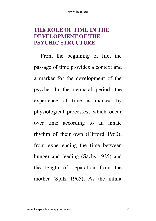#### <span id="page-7-0"></span>**THE ROLE OF TIME IN THE DEVELOPMENT OF THE PSYCHIC STRUCTURE**

From the beginning of life, the passage of time provides a context and a marker for the development of the psyche. In the neonatal period, the experience of time is marked by physiological processes, which occur over time according to an innate rhythm of their own (Gifford 1960), from experiencing the time between hunger and feeding (Sachs 1925) and the length of separation from the mother (Spitz 1965). As the infant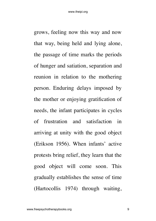grows, feeling now this way and now that way, being held and lying alone, the passage of time marks the periods of hunger and satiation, separation and reunion in relation to the mothering person. Enduring delays imposed by the mother or enjoying gratification of needs, the infant participates in cycles of frustration and satisfaction in arriving at unity with the good object (Erikson 1956). When infants' active protests bring relief, they learn that the good object will come soon. This gradually establishes the sense of time (Hartocollis 1974) through waiting,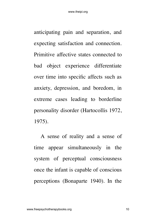anticipating pain and separation, and expecting satisfaction and connection. Primitive affective states connected to bad object experience differentiate over time into specific affects such as anxiety, depression, and boredom, in extreme cases leading to borderline personality disorder (Hartocollis 1972, 1975).

A sense of reality and a sense of time appear simultaneously in the system of perceptual consciousness once the infant is capable of conscious perceptions (Bonaparte 1940). In the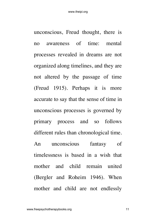unconscious, Freud thought, there is no awareness of time: mental processes revealed in dreams are not organized along timelines, and they are not altered by the passage of time (Freud 1915). Perhaps it is more accurate to say that the sense of time in unconscious processes is governed by primary process and so follows different rules than chronological time. An unconscious fantasy of timelessness is based in a wish that mother and child remain united (Bergler and Roheim 1946). When mother and child are not endlessly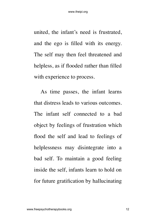united, the infant's need is frustrated, and the ego is filled with its energy. The self may then feel threatened and helpless, as if flooded rather than filled with experience to process.

As time passes, the infant learns that distress leads to various outcomes. The infant self connected to a bad object by feelings of frustration which flood the self and lead to feelings of helplessness may disintegrate into a bad self. To maintain a good feeling inside the self, infants learn to hold on for future gratification by hallucinating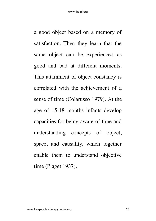a good object based on a memory of satisfaction. Then they learn that the same object can be experienced as good and bad at different moments. This attainment of object constancy is correlated with the achievement of a sense of time (Colarusso 1979). At the age of 15-18 months infants develop capacities for being aware of time and understanding concepts of object, space, and causality, which together enable them to understand objective time (Piaget 1937).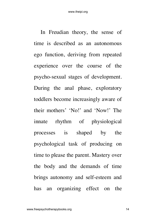In Freudian theory, the sense of time is described as an autonomous ego function, deriving from repeated experience over the course of the psycho-sexual stages of development. During the anal phase, exploratory toddlers become increasingly aware of their mothers' 'No!' and 'Now!' The innate rhythm of physiological processes is shaped by the psychological task of producing on time to please the parent. Mastery over the body and the demands of time brings autonomy and self-esteem and has an organizing effect on the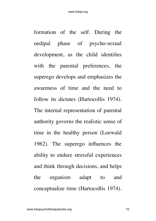formation of the self. During the oedipal phase of psycho-sexual development, as the child identifies with the parental preferences, the superego develops and emphasizes the awareness of time and the need to follow its dictates (Hartocollis 1974). The internal representation of parental authority governs the realistic sense of time in the healthy person (Loewald 1962). The superego influences the ability to endure stressful experiences and think through decisions, and helps the organism adapt to and conceptualize time (Hartocollis 1974).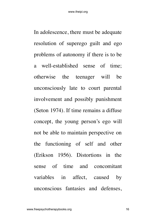In adolescence, there must be adequate resolution of superego guilt and ego problems of autonomy if there is to be a well-established sense of time; otherwise the teenager will be unconsciously late to court parental involvement and possibly punishment (Seton 1974). If time remains a diffuse concept, the young person's ego will not be able to maintain perspective on the functioning of self and other (Erikson 1956). Distortions in the sense of time and concomitant variables in affect, caused by unconscious fantasies and defenses,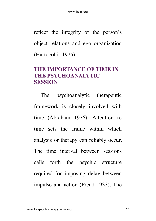reflect the integrity of the person's object relations and ego organization (Hartocollis 1975).

#### <span id="page-16-0"></span>**THE IMPORTANCE OF TIME IN THE PSYCHOANALYTIC SESSION**

The psychoanalytic therapeutic framework is closely involved with time (Abraham 1976). Attention to time sets the frame within which analysis or therapy can reliably occur. The time interval between sessions calls forth the psychic structure required for imposing delay between impulse and action (Freud 1933). The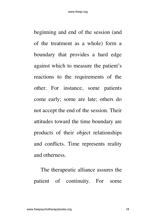beginning and end of the session (and of the treatment as a whole) form a boundary that provides a hard edge against which to measure the patient's reactions to the requirements of the other. For instance, some patients come early; some are late; others do not accept the end of the session. Their attitudes toward the time boundary are products of their object relationships and conflicts. Time represents reality and otherness.

The therapeutic alliance assures the patient of continuity. For some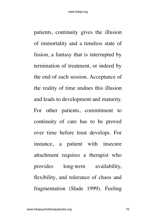patients, continuity gives the illusion of immortality and a timeless state of fusion, a fantasy that is interrupted by termination of treatment, or indeed by the end of each session. Acceptance of the reality of time undoes this illusion and leads to development and maturity. For other patients, commitment to continuity of care has to be proved over time before trust develops. For instance, a patient with insecure attachment requires a therapist who provides long-term availability, flexibility, and tolerance of chaos and fragmentation (Slade 1999). Feeling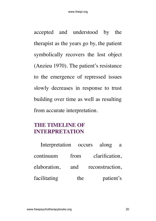accepted and understood by the therapist as the years go by, the patient symbolically recovers the lost object (Anzieu 1970). The patient's resistance to the emergence of repressed issues slowly decreases in response to trust building over time as well as resulting from accurate interpretation.

#### <span id="page-19-0"></span>**THE TIMELINE OF INTERPRETATION**

| Interpretation occurs along a |     |                                  |           |  |
|-------------------------------|-----|----------------------------------|-----------|--|
|                               |     | continuum from clarification,    |           |  |
|                               |     | elaboration, and reconstruction, |           |  |
| facilitating                  | the |                                  | patient's |  |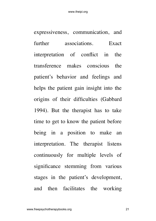expressiveness, communication, and further associations Exact interpretation of conflict in the transference makes conscious the patient's behavior and feelings and helps the patient gain insight into the origins of their difficulties (Gabbard 1994). But the therapist has to take time to get to know the patient before being in a position to make an interpretation. The therapist listens continuously for multiple levels of significance stemming from various stages in the patient's development, and then facilitates the working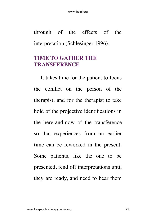through of the effects of the interpretation (Schlesinger 1996).

#### <span id="page-21-0"></span>**TIME TO GATHER THE TRANSFERENCE**

It takes time for the patient to focus the conflict on the person of the therapist, and for the therapist to take hold of the projective identifications in the here-and-now of the transference so that experiences from an earlier time can be reworked in the present. Some patients, like the one to be presented, fend off interpretations until they are ready, and need to hear them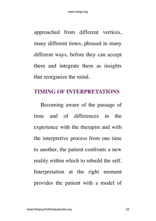approached from different vertices, many different times, phrased in many different ways, before they can accept them and integrate them as insights that reorganize the mind.

#### <span id="page-22-0"></span>**TIMING OF INTERPRETATIONS**

Becoming aware of the passage of time and of differences in the experience with the therapist and with the interpretive process from one time to another, the patient confronts a new reality within which to rebuild the self. Interpretation at the right moment provides the patient with a model of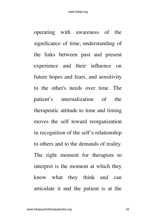operating with awareness of the significance of time, understanding of the links between past and present experience and their influence on future hopes and fears, and sensitivity to the other's needs over time. The patient's internalization of the therapeutic attitude to time and timing moves the self toward reorganization in recognition of the self's relationship to others and to the demands of reality. The right moment for therapists to interpret is the moment at which they know what they think and can articulate it and the patient is at the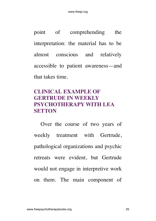point of comprehending the interpretation: the material has to be almost conscious and relatively accessible to patient awareness—and that takes time.

#### <span id="page-24-0"></span>**CLINICAL EXAMPLE OF GERTRUDE IN WEEKLY PSYCHOTHERAPY WITH LEA SETTON**

Over the course of two years of weekly treatment with Gertrude, pathological organizations and psychic retreats were evident, but Gertrude would not engage in interpretive work on them. The main component of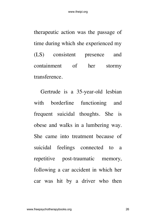therapeutic action was the passage of time during which she experienced my (LS) consistent presence and containment of her stormy transference.

Gertrude is a 35-year-old lesbian with borderline functioning and frequent suicidal thoughts. She is obese and walks in a lumbering way. She came into treatment because of suicidal feelings connected to a repetitive post-traumatic memory, following a car accident in which her car was hit by a driver who then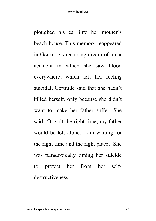ploughed his car into her mother's beach house. This memory reappeared in Gertrude's recurring dream of a car accident in which she saw blood everywhere, which left her feeling suicidal. Gertrude said that she hadn't killed herself, only because she didn't want to make her father suffer. She said, 'It isn't the right time, my father would be left alone. I am waiting for the right time and the right place.' She was paradoxically timing her suicide to protect her from her selfdestructiveness.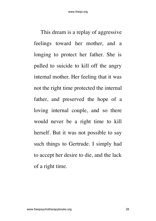This dream is a replay of aggressive feelings toward her mother, and a longing to protect her father. She is pulled to suicide to kill off the angry internal mother. Her feeling that it was not the right time protected the internal father, and preserved the hope of a loving internal couple, and so there would never be a right time to kill herself. But it was not possible to say such things to Gertrude. I simply had to accept her desire to die, and the lack of a right time.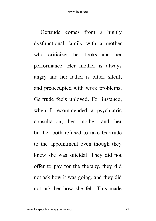Gertrude comes from a highly dysfunctional family with a mother who criticizes her looks and her performance. Her mother is always angry and her father is bitter, silent, and preoccupied with work problems. Gertrude feels unloved. For instance, when I recommended a psychiatric consultation, her mother and her brother both refused to take Gertrude to the appointment even though they knew she was suicidal. They did not offer to pay for the therapy, they did not ask how it was going, and they did not ask her how she felt. This made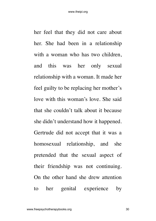her feel that they did not care about her. She had been in a relationship with a woman who has two children, and this was her only sexual relationship with a woman. It made her feel guilty to be replacing her mother's love with this woman's love. She said that she couldn't talk about it because she didn't understand how it happened. Gertrude did not accept that it was a homosexual relationship, and she pretended that the sexual aspect of their friendship was not continuing. On the other hand she drew attention to her genital experience by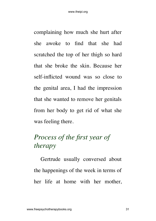complaining how much she hurt after she awoke to find that she had scratched the top of her thigh so hard that she broke the skin. Because her self-inflicted wound was so close to the genital area, I had the impression that she wanted to remove her genitals from her body to get rid of what she was feeling there.

### *Process of the first year of therapy*

Gertrude usually conversed about the happenings of the week in terms of her life at home with her mother,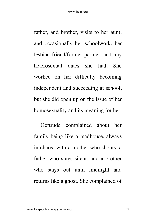father, and brother, visits to her aunt, and occasionally her schoolwork, her lesbian friend/former partner, and any heterosexual dates she had. She worked on her difficulty becoming independent and succeeding at school, but she did open up on the issue of her homosexuality and its meaning for her.

Gertrude complained about her family being like a madhouse, always in chaos, with a mother who shouts, a father who stays silent, and a brother who stays out until midnight and returns like a ghost. She complained of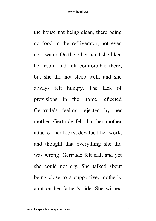the house not being clean, there being no food in the refrigerator, not even cold water. On the other hand she liked her room and felt comfortable there, but she did not sleep well, and she always felt hungry. The lack of provisions in the home reflected Gertrude's feeling rejected by her mother. Gertrude felt that her mother attacked her looks, devalued her work, and thought that everything she did was wrong. Gertrude felt sad, and yet she could not cry. She talked about being close to a supportive, motherly aunt on her father's side. She wished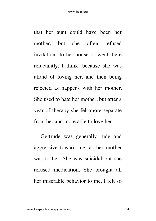that her aunt could have been her mother, but she often refused invitations to her house or went there reluctantly, I think, because she was afraid of loving her, and then being rejected as happens with her mother. She used to hate her mother, but after a year of therapy she felt more separate from her and more able to love her.

Gertrude was generally rude and aggressive toward me, as her mother was to her. She was suicidal but she refused medication. She brought all her miserable behavior to me. I felt so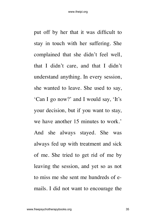put off by her that it was difficult to stay in touch with her suffering. She complained that she didn't feel well, that I didn't care, and that I didn't understand anything. In every session, she wanted to leave. She used to say, 'Can I go now?' and I would say, 'It's your decision, but if you want to stay, we have another 15 minutes to work.' And she always stayed. She was always fed up with treatment and sick of me. She tried to get rid of me by leaving the session, and yet so as not to miss me she sent me hundreds of emails. I did not want to encourage the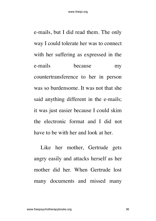e-mails, but I did read them. The only way I could tolerate her was to connect with her suffering as expressed in the e-mails because my countertransference to her in person was so burdensome. It was not that she said anything different in the e-mails; it was just easier because I could skim the electronic format and I did not have to be with her and look at her.

Like her mother, Gertrude gets angry easily and attacks herself as her mother did her. When Gertrude lost many documents and missed many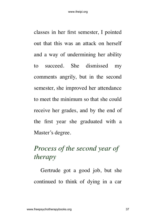classes in her first semester, I pointed out that this was an attack on herself and a way of undermining her ability to succeed. She dismissed my comments angrily, but in the second semester, she improved her attendance to meet the minimum so that she could receive her grades, and by the end of the first year she graduated with a Master's degree.

### *Process of the second year of therapy*

Gertrude got a good job, but she continued to think of dying in a car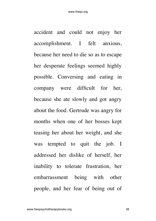accident and could not enjoy her accomplishment. I felt anxious, because her need to die so as to escape her desperate feelings seemed highly possible. Conversing and eating in company were difficult for her, because she ate slowly and got angry about the food. Gertrude was angry for months when one of her bosses kept teasing her about her weight, and she was tempted to quit the job. I addressed her dislike of herself, her inability to tolerate frustration, her embarrassment being with other people, and her fear of being out of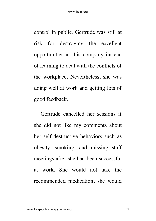control in public. Gertrude was still at risk for destroying the excellent opportunities at this company instead of learning to deal with the conflicts of the workplace. Nevertheless, she was doing well at work and getting lots of good feedback.

Gertrude cancelled her sessions if she did not like my comments about her self-destructive behaviors such as obesity, smoking, and missing staff meetings after she had been successful at work. She would not take the recommended medication, she would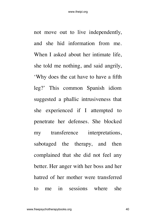not move out to live independently, and she hid information from me. When I asked about her intimate life, she told me nothing, and said angrily, 'Why does the cat have to have a fifth leg?' This common Spanish idiom suggested a phallic intrusiveness that she experienced if I attempted to penetrate her defenses. She blocked my transference interpretations, sabotaged the therapy, and then complained that she did not feel any better. Her anger with her boss and her hatred of her mother were transferred to me in sessions where she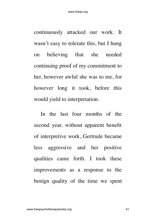continuously attacked our work. It wasn't easy to tolerate this, but I hung on believing that she needed continuing proof of my commitment to her, however awful she was to me, for however long it took, before this would yield to interpretation.

In the last four months of the second year, without apparent benefit of interpretive work, Gertrude became less aggressive and her positive qualities came forth. I took these improvements as a response to the benign quality of the time we spent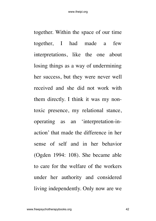together. Within the space of our time together, I had made a few interpretations, like the one about losing things as a way of undermining her success, but they were never well received and she did not work with them directly. I think it was my nontoxic presence, my relational stance, operating as an 'interpretation-inaction' that made the difference in her sense of self and in her behavior (Ogden 1994: 108). She became able to care for the welfare of the workers under her authority and considered living independently. Only now are we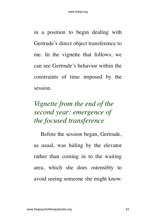in a position to begin dealing with Gertrude's direct object transference to me. In the vignette that follows, we can see Gertrude's behavior within the constraints of time imposed by the session.

### *Vignette from the end of the second year: emergence of the focused transference*

Before the session began, Gertrude, as usual, was hiding by the elevator rather than coming in to the waiting area, which she does ostensibly to avoid seeing someone she might know.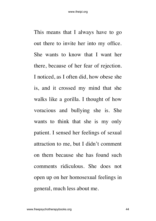This means that I always have to go out there to invite her into my office. She wants to know that I want her there, because of her fear of rejection. I noticed, as I often did, how obese she is, and it crossed my mind that she walks like a gorilla. I thought of how voracious and bullying she is. She wants to think that she is my only patient. I sensed her feelings of sexual attraction to me, but I didn't comment on them because she has found such comments ridiculous. She does not open up on her homosexual feelings in general, much less about me.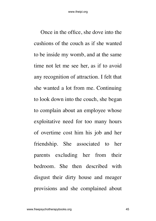Once in the office, she dove into the cushions of the couch as if she wanted to be inside my womb, and at the same time not let me see her, as if to avoid any recognition of attraction. I felt that she wanted a lot from me. Continuing to look down into the couch, she began to complain about an employee whose exploitative need for too many hours of overtime cost him his job and her friendship. She associated to her parents excluding her from their bedroom. She then described with disgust their dirty house and meager provisions and she complained about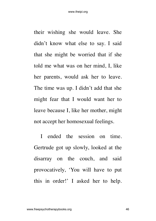their wishing she would leave. She didn't know what else to say. I said that she might be worried that if she told me what was on her mind, I, like her parents, would ask her to leave. The time was up. I didn't add that she might fear that I would want her to leave because I, like her mother, might not accept her homosexual feelings.

I ended the session on time. Gertrude got up slowly, looked at the disarray on the couch, and said provocatively, 'You will have to put this in order!' I asked her to help.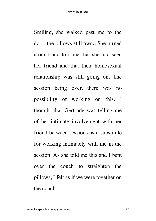Smiling, she walked past me to the door, the pillows still awry. She turned around and told me that she had seen her friend and that their homosexual relationship was still going on. The session being over, there was no possibility of working on this. I thought that Gertrude was telling me of her intimate involvement with her friend between sessions as a substitute for working intimately with me in the session. As she told me this and I bent over the couch to straighten the pillows, I felt as if we were together on the couch.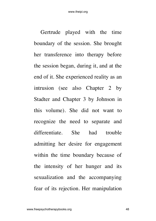Gertrude played with the time boundary of the session. She brought her transference into therapy before the session began, during it, and at the end of it. She experienced reality as an intrusion (see also Chapter 2 by Stadter and Chapter 3 by Johnson in this volume). She did not want to recognize the need to separate and differentiate. She had trouble admitting her desire for engagement within the time boundary because of the intensity of her hunger and its sexualization and the accompanying fear of its rejection. Her manipulation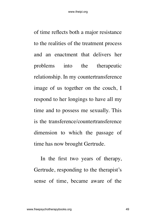of time reflects both a major resistance to the realities of the treatment process and an enactment that delivers her problems into the therapeutic relationship. In my countertransference image of us together on the couch, I respond to her longings to have all my time and to possess me sexually. This is the transference/countertransference dimension to which the passage of time has now brought Gertrude.

In the first two years of therapy, Gertrude, responding to the therapist's sense of time, became aware of the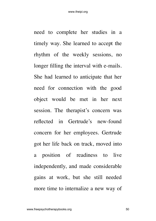need to complete her studies in a timely way. She learned to accept the rhythm of the weekly sessions, no longer filling the interval with e-mails. She had learned to anticipate that her need for connection with the good object would be met in her next session. The therapist's concern was reflected in Gertrude's new-found concern for her employees. Gertrude got her life back on track, moved into a position of readiness to live independently, and made considerable gains at work, but she still needed more time to internalize a new way of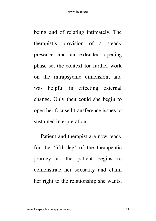being and of relating intimately. The therapist's provision of a steady presence and an extended opening phase set the context for further work on the intrapsychic dimension, and was helpful in effecting external change. Only then could she begin to open her focused transference issues to sustained interpretation.

Patient and therapist are now ready for the 'fifth leg' of the therapeutic journey as the patient begins to demonstrate her sexuality and claim her right to the relationship she wants.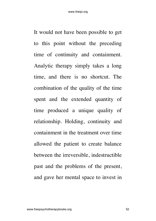It would not have been possible to get to this point without the preceding time of continuity and containment. Analytic therapy simply takes a long time, and there is no shortcut. The combination of the quality of the time spent and the extended quantity of time produced a unique quality of relationship. Holding, continuity and containment in the treatment over time allowed the patient to create balance between the irreversible, indestructible past and the problems of the present, and gave her mental space to invest in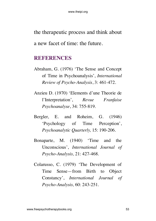the therapeutic process and think about a new facet of time: the future.

#### <span id="page-52-0"></span>**REFERENCES**

- Abraham, G. (1976) 'The Sense and Concept of Time in Psychoanalysis', *International Review of Psycho-Analysis*, 3: 461-472.
- Anzieu D. (1970) 'Elements d'une Theorie de l'Interpretation', *Revue Franfaise Psychoanalyse*, 34: 755-819.
- Bergler, E. and Roheim, G. (1946) 'Psychology of Time Perception', *Psychoanalytic Quarterly,* 15: 190-206.
- Bonaparte, M. (1940) 'Time and the Unconscious', *International Journal of Psycho-Analysis,* 21: 427-468.
- Colarusso, C. (1979) 'The Development of Time Sense—from Birth to Object Constancy', *International Journal of Psycho-Analysis,* 60: 243-251.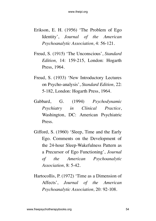- Erikson, E. H. (1956) 'The Problem of Ego Identity', *Journal of the American Psychoanalytic Association,* 4: 56-121.
- Freud, S. (1915) 'The Unconscious', *Standard Edition,* 14: 159-215, London: Hogarth Press, 1964.
- Freud, S. (1933) 'New Introductory Lectures on Psycho-analysis', *Standard Edition,* 22: 5-182, London: Hogarth Press, 1964.
- Gabbard, G. (1994) *Psychodynamic Psychiatry in Clinical Practice*, Washington, DC: American Psychiatric Press.
- Gifford, S. (1960) 'Sleep, Time and the Early Ego. Comments on the Development of the 24-hour Sleep-Wakefulness Pattern as a Precursor of Ego Functioning', *Journal of the American Psychoanalytic Association,* 8: 5-42.
- Hartocollis, P. (1972) 'Time as a Dimension of Affects', *Journal of the American Psychoanalytic Association,* 20: 92-108.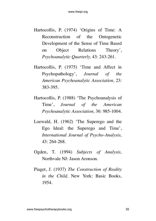- Hartocollis, P. (1974) 'Origins of Time: A Reconstruction of the Ontogenetic Development of the Sense of Time Based on Object Relations Theory', *Psychoanalytic Quarterly,* 43: 243-261.
- Hartocollis, P. (1975) 'Time and Affect in Psychopathology', *Journal of the American Psychoanalytic Association,* 23: 383-395.
- Hartocollis, P. (1988) 'The Psychoanalysis of Time', *Journal of the American Psychoanalytic Association,* 36: 985-1004.
- Loewald, H. (1962) 'The Superego and the Ego Ideal: the Superego and Time', *International Journal of Psycho-Analysis,* 43: 264-268.
- Ogden, T. (1994) *Subjects of Analysis,* Northvale NJ: Jason Aronson.
- Piaget, J. (1937) *The Construction of Reality in the Child,* New York: Basic Books, 1954.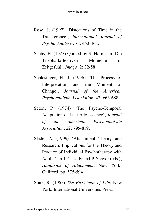- Rose, J. (1997) 'Distortions of Time in the Transference', *International Journal of Psycho-Analysis,* 78: 453-468.
- Sachs, H. (1925) Quoted by S. Harnik in 'Die Triebhaftaffektiven Momente in Zeitgefühl', *Imago,* 2: 32-58.
- Schlesinger, H. J. (1996) 'The Process of Interpretation and the Moment of Change', *Journal of the American Psychoanalytic Association,* 43: 663-688.
- Seton, P. (1974) 'The Psycho-Temporal Adaptation of Late Adolescence', *Journal of the American Psychoanalytic Association,* 22: 795-819.
- Slade, A. (1999) 'Attachment Theory and Research: Implications for the Theory and Practice of Individual Psychotherapy with Adults', in J. Cassidy and P. Shaver (eds.), *Handbook of Attachment,* New York: Guilford, pp. 575-594.
- Spitz, R. (1965) *The First Year of Life,* New York: International Universities Press.